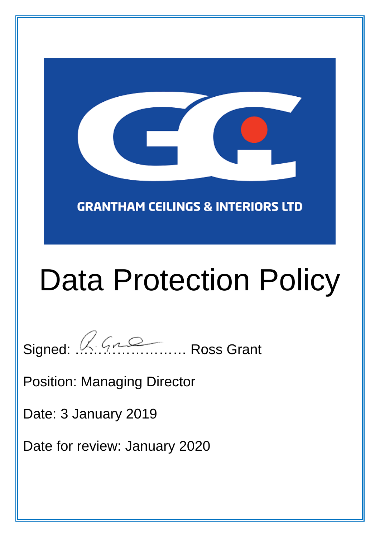**GRANTHAM CEILINGS & INTERIORS LTD** 

# Data Protection Policy

Signed: A.Gromann........ Ross Grant

Position: Managing Director

Date: 3 January 2019

Date for review: January 2020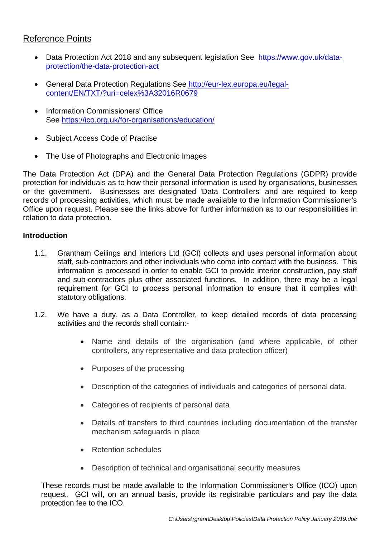# Reference Points

- Data Protection Act 2018 and any subsequent legislation See https://www.gov.uk/dataprotection/the-data-protection-act
- General Data Protection Regulations See http://eur-lex.europa.eu/legalcontent/EN/TXT/?uri=celex%3A32016R0679
- Information Commissioners' Office See https://ico.org.uk/for-organisations/education/
- Subject Access Code of Practise
- The Use of Photographs and Electronic Images

The Data Protection Act (DPA) and the General Data Protection Regulations (GDPR) provide protection for individuals as to how their personal information is used by organisations, businesses or the government. Businesses are designated 'Data Controllers' and are required to keep records of processing activities, which must be made available to the Information Commissioner's Office upon request. Please see the links above for further information as to our responsibilities in relation to data protection.

# **Introduction**

- 1.1. Grantham Ceilings and Interiors Ltd (GCI) collects and uses personal information about staff, sub-contractors and other individuals who come into contact with the business. This information is processed in order to enable GCI to provide interior construction, pay staff and sub-contractors plus other associated functions. In addition, there may be a legal requirement for GCI to process personal information to ensure that it complies with statutory obligations.
- 1.2. We have a duty, as a Data Controller, to keep detailed records of data processing activities and the records shall contain:-
	- Name and details of the organisation (and where applicable, of other controllers, any representative and data protection officer)
	- Purposes of the processing
	- Description of the categories of individuals and categories of personal data.
	- Categories of recipients of personal data
	- Details of transfers to third countries including documentation of the transfer mechanism safeguards in place
	- Retention schedules
	- Description of technical and organisational security measures

These records must be made available to the Information Commissioner's Office (ICO) upon request. GCI will, on an annual basis, provide its registrable particulars and pay the data protection fee to the ICO.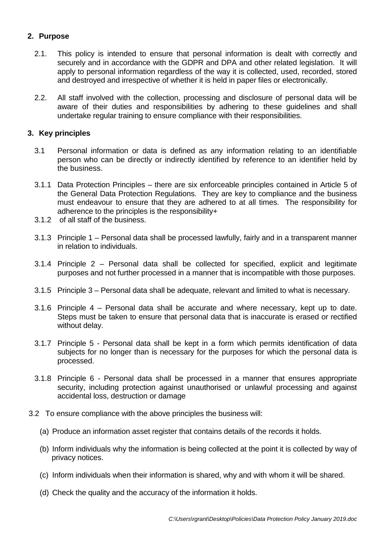# **2. Purpose**

- 2.1. This policy is intended to ensure that personal information is dealt with correctly and securely and in accordance with the GDPR and DPA and other related legislation. It will apply to personal information regardless of the way it is collected, used, recorded, stored and destroyed and irrespective of whether it is held in paper files or electronically.
- 2.2. All staff involved with the collection, processing and disclosure of personal data will be aware of their duties and responsibilities by adhering to these guidelines and shall undertake regular training to ensure compliance with their responsibilities.

# **3. Key principles**

- 3.1 Personal information or data is defined as any information relating to an identifiable person who can be directly or indirectly identified by reference to an identifier held by the business.
- 3.1.1 Data Protection Principles there are six enforceable principles contained in Article 5 of the General Data Protection Regulations. They are key to compliance and the business must endeavour to ensure that they are adhered to at all times. The responsibility for adherence to the principles is the responsibility+
- 3.1.2 of all staff of the business.
- 3.1.3 Principle 1 Personal data shall be processed lawfully, fairly and in a transparent manner in relation to individuals.
- 3.1.4 Principle 2 Personal data shall be collected for specified, explicit and legitimate purposes and not further processed in a manner that is incompatible with those purposes.
- 3.1.5 Principle 3 Personal data shall be adequate, relevant and limited to what is necessary.
- 3.1.6 Principle 4 Personal data shall be accurate and where necessary, kept up to date. Steps must be taken to ensure that personal data that is inaccurate is erased or rectified without delay.
- 3.1.7 Principle 5 Personal data shall be kept in a form which permits identification of data subjects for no longer than is necessary for the purposes for which the personal data is processed.
- 3.1.8 Principle 6 Personal data shall be processed in a manner that ensures appropriate security, including protection against unauthorised or unlawful processing and against accidental loss, destruction or damage
- 3.2 To ensure compliance with the above principles the business will:
	- (a) Produce an information asset register that contains details of the records it holds.
	- (b) Inform individuals why the information is being collected at the point it is collected by way of privacy notices.
	- (c) Inform individuals when their information is shared, why and with whom it will be shared.
	- (d) Check the quality and the accuracy of the information it holds.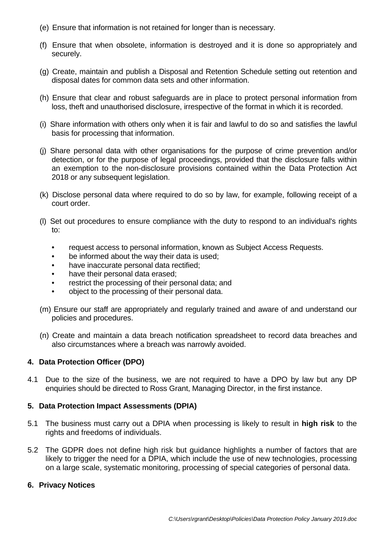- (e) Ensure that information is not retained for longer than is necessary.
- (f) Ensure that when obsolete, information is destroyed and it is done so appropriately and securely.
- (g) Create, maintain and publish a Disposal and Retention Schedule setting out retention and disposal dates for common data sets and other information.
- (h) Ensure that clear and robust safeguards are in place to protect personal information from loss, theft and unauthorised disclosure, irrespective of the format in which it is recorded.
- (i) Share information with others only when it is fair and lawful to do so and satisfies the lawful basis for processing that information.
- (j) Share personal data with other organisations for the purpose of crime prevention and/or detection, or for the purpose of legal proceedings, provided that the disclosure falls within an exemption to the non-disclosure provisions contained within the Data Protection Act 2018 or any subsequent legislation.
- (k) Disclose personal data where required to do so by law, for example, following receipt of a court order.
- (l) Set out procedures to ensure compliance with the duty to respond to an individual's rights to:
	- request access to personal information, known as Subject Access Requests.
	- be informed about the way their data is used;
	- have inaccurate personal data rectified;
	- have their personal data erased;
	- restrict the processing of their personal data; and
	- object to the processing of their personal data.
- (m) Ensure our staff are appropriately and regularly trained and aware of and understand our policies and procedures.
- (n) Create and maintain a data breach notification spreadsheet to record data breaches and also circumstances where a breach was narrowly avoided.

### **4. Data Protection Officer (DPO)**

4.1 Due to the size of the business, we are not required to have a DPO by law but any DP enquiries should be directed to Ross Grant, Managing Director, in the first instance.

### **5. Data Protection Impact Assessments (DPIA)**

- 5.1 The business must carry out a DPIA when processing is likely to result in **high risk** to the rights and freedoms of individuals.
- 5.2 The GDPR does not define high risk but guidance highlights a number of factors that are likely to trigger the need for a DPIA, which include the use of new technologies, processing on a large scale, systematic monitoring, processing of special categories of personal data.

### **6. Privacy Notices**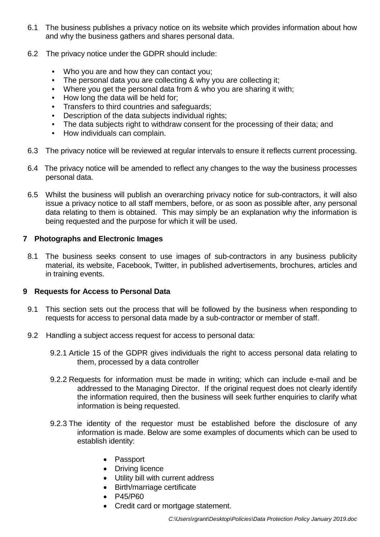- 6.1 The business publishes a privacy notice on its website which provides information about how and why the business gathers and shares personal data.
- 6.2 The privacy notice under the GDPR should include:
	- Who you are and how they can contact you;
	- The personal data you are collecting & why you are collecting it;
	- Where you get the personal data from & who you are sharing it with;
	- How long the data will be held for:
	- Transfers to third countries and safeguards;
	- Description of the data subjects individual rights;
	- The data subjects right to withdraw consent for the processing of their data; and
	- How individuals can complain.
- 6.3 The privacy notice will be reviewed at regular intervals to ensure it reflects current processing.
- 6.4 The privacy notice will be amended to reflect any changes to the way the business processes personal data.
- 6.5 Whilst the business will publish an overarching privacy notice for sub-contractors, it will also issue a privacy notice to all staff members, before, or as soon as possible after, any personal data relating to them is obtained. This may simply be an explanation why the information is being requested and the purpose for which it will be used.

# **7 Photographs and Electronic Images**

8.1 The business seeks consent to use images of sub-contractors in any business publicity material, its website, Facebook, Twitter, in published advertisements, brochures, articles and in training events.

# **9 Requests for Access to Personal Data**

- 9.1 This section sets out the process that will be followed by the business when responding to requests for access to personal data made by a sub-contractor or member of staff.
- 9.2 Handling a subject access request for access to personal data:
	- 9.2.1 Article 15 of the GDPR gives individuals the right to access personal data relating to them, processed by a data controller
	- 9.2.2 Requests for information must be made in writing; which can include e-mail and be addressed to the Managing Director. If the original request does not clearly identify the information required, then the business will seek further enquiries to clarify what information is being requested.
	- 9.2.3 The identity of the requestor must be established before the disclosure of any information is made. Below are some examples of documents which can be used to establish identity:
		- Passport
		- Driving licence
		- Utility bill with current address
		- Birth/marriage certificate
		- P45/P60
		- Credit card or mortgage statement.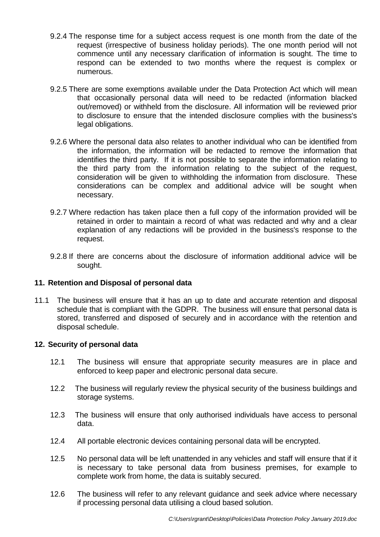- 9.2.4 The response time for a subject access request is one month from the date of the request (irrespective of business holiday periods). The one month period will not commence until any necessary clarification of information is sought. The time to respond can be extended to two months where the request is complex or numerous.
- 9.2.5 There are some exemptions available under the Data Protection Act which will mean that occasionally personal data will need to be redacted (information blacked out/removed) or withheld from the disclosure. All information will be reviewed prior to disclosure to ensure that the intended disclosure complies with the business's legal obligations.
- 9.2.6 Where the personal data also relates to another individual who can be identified from the information, the information will be redacted to remove the information that identifies the third party. If it is not possible to separate the information relating to the third party from the information relating to the subject of the request, consideration will be given to withholding the information from disclosure. These considerations can be complex and additional advice will be sought when necessary.
- 9.2.7 Where redaction has taken place then a full copy of the information provided will be retained in order to maintain a record of what was redacted and why and a clear explanation of any redactions will be provided in the business's response to the request.
- 9.2.8 If there are concerns about the disclosure of information additional advice will be sought.

### **11. Retention and Disposal of personal data**

11.1 The business will ensure that it has an up to date and accurate retention and disposal schedule that is compliant with the GDPR. The business will ensure that personal data is stored, transferred and disposed of securely and in accordance with the retention and disposal schedule.

### **12. Security of personal data**

- 12.1 The business will ensure that appropriate security measures are in place and enforced to keep paper and electronic personal data secure.
- 12.2 The business will regularly review the physical security of the business buildings and storage systems.
- 12.3 The business will ensure that only authorised individuals have access to personal data.
- 12.4 All portable electronic devices containing personal data will be encrypted.
- 12.5 No personal data will be left unattended in any vehicles and staff will ensure that if it is necessary to take personal data from business premises, for example to complete work from home, the data is suitably secured.
- 12.6 The business will refer to any relevant guidance and seek advice where necessary if processing personal data utilising a cloud based solution.